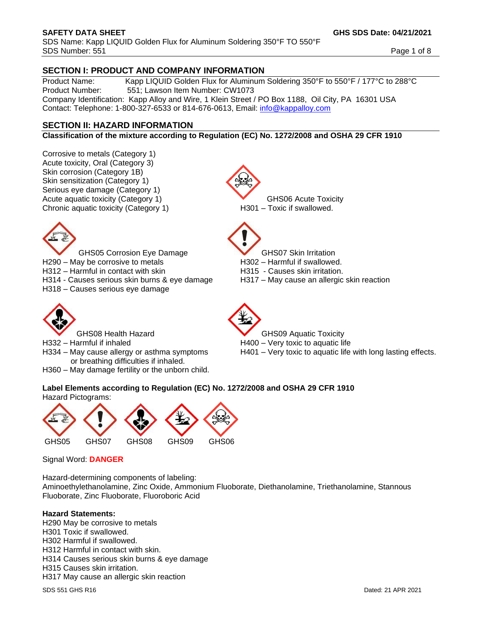SDS Name: Kapp LIQUID Golden Flux for Aluminum Soldering 350°F TO 550°F SDS Number: 551 Page 1 of 8

# **SECTION I: PRODUCT AND COMPANY INFORMATION**

Product Name: Kapp LIQUID Golden Flux for Aluminum Soldering 350°F to 550°F / 177°C to 288°C<br>Product Number: 551: Lawson Item Number: CW1073 551; Lawson Item Number: CW1073 Company Identification: Kapp Alloy and Wire, 1 Klein Street / PO Box 1188, Oil City, PA 16301 USA Contact: Telephone: 1-800-327-6533 or 814-676-0613, Email: [info@kappalloy.com](mailto:info@kappalloy.com)

# **SECTION II: HAZARD INFORMATION**

**Classification of the mixture according to Regulation (EC) No. 1272/2008 and OSHA 29 CFR 1910**

Corrosive to metals (Category 1) Acute toxicity, Oral (Category 3) Skin corrosion (Category 1B) Skin sensitization (Category 1) Serious eye damage (Category 1) Acute aquatic toxicity (Category 1) GHS06 Acute Toxicity Chronic aquatic toxicity (Category 1) H301 – Toxic if swallowed.

GHS05 Corrosion Eye Damage **GHS07** Skin Irritation

- H290 May be corrosive to metals H302 Harmful if swallowed.
- H312 Harmful in contact with skin H315 Causes skin irritation.
- H314 Causes serious skin burns & eye damage H317 May cause an allergic skin reaction
- H318 Causes serious eye damage



- 
- or breathing difficulties if inhaled.
- H360 May damage fertility or the unborn child.



- 
- 
- 
- 



- GHS08 Health Hazard **GHS09** Aquatic Toxicity
- H332 Harmful if inhaled H400 Very toxic to aquatic life
- H334 May cause allergy or asthma symptoms H401 Very toxic to aquatic life with long lasting effects.

# **Label Elements according to Regulation (EC) No. 1272/2008 and OSHA 29 CFR 1910** Hazard Pictograms:



Signal Word: **DANGER**

Hazard-determining components of labeling: Aminoethylethanolamine, Zinc Oxide, Ammonium Fluoborate, Diethanolamine, Triethanolamine, Stannous Fluoborate, Zinc Fluoborate, Fluoroboric Acid

# **Hazard Statements:**

H290 May be corrosive to metals H301 Toxic if swallowed. H302 Harmful if swallowed. H312 Harmful in contact with skin. H314 Causes serious skin burns & eye damage H315 Causes skin irritation. H317 May cause an allergic skin reaction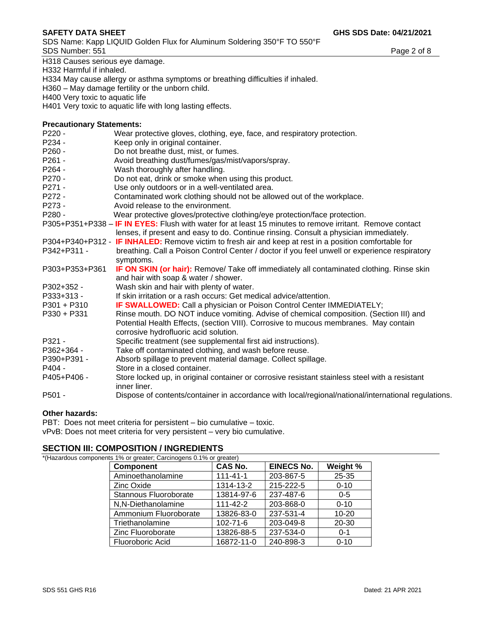SDS Name: Kapp LIQUID Golden Flux for Aluminum Soldering 350°F TO 550°F SDS Number: 551 Page 2 of 8

H318 Causes serious eye damage.

H332 Harmful if inhaled.

H334 May cause allergy or asthma symptoms or breathing difficulties if inhaled.

H360 – May damage fertility or the unborn child.

H400 Very toxic to aquatic life

H401 Very toxic to aquatic life with long lasting effects.

# **Precautionary Statements:**

| Precautionary Statements: |                                                                                                                                                                                                                         |
|---------------------------|-------------------------------------------------------------------------------------------------------------------------------------------------------------------------------------------------------------------------|
| $P220 -$                  | Wear protective gloves, clothing, eye, face, and respiratory protection.                                                                                                                                                |
| P234 -                    | Keep only in original container.                                                                                                                                                                                        |
| P <sub>260</sub> -        | Do not breathe dust, mist, or fumes.                                                                                                                                                                                    |
| P261 -                    | Avoid breathing dust/fumes/gas/mist/vapors/spray.                                                                                                                                                                       |
| P <sub>264</sub> -        | Wash thoroughly after handling.                                                                                                                                                                                         |
| P270 -                    | Do not eat, drink or smoke when using this product.                                                                                                                                                                     |
| P271 -                    | Use only outdoors or in a well-ventilated area.                                                                                                                                                                         |
| P272 -                    | Contaminated work clothing should not be allowed out of the workplace.                                                                                                                                                  |
| P273 -                    | Avoid release to the environment.                                                                                                                                                                                       |
| P280 -                    | Wear protective gloves/protective clothing/eye protection/face protection.                                                                                                                                              |
|                           | P305+P351+P338 – IF IN EYES: Flush with water for at least 15 minutes to remove irritant. Remove contact<br>lenses, if present and easy to do. Continue rinsing. Consult a physician immediately.                       |
|                           | P304+P340+P312 - IF INHALED: Remove victim to fresh air and keep at rest in a position comfortable for                                                                                                                  |
| P342+P311 -               | breathing. Call a Poison Control Center / doctor if you feel unwell or experience respiratory<br>symptoms.                                                                                                              |
| P303+P353+P361            | IF ON SKIN (or hair): Remove/ Take off immediately all contaminated clothing. Rinse skin<br>and hair with soap & water / shower.                                                                                        |
| P302+352 -                | Wash skin and hair with plenty of water.                                                                                                                                                                                |
| P333+313 -                | If skin irritation or a rash occurs: Get medical advice/attention.                                                                                                                                                      |
| $P301 + P310$             | IF SWALLOWED: Call a physician or Poison Control Center IMMEDIATELY;                                                                                                                                                    |
| P330 + P331               | Rinse mouth. DO NOT induce vomiting. Advise of chemical composition. (Section III) and<br>Potential Health Effects, (section VIII). Corrosive to mucous membranes. May contain<br>corrosive hydrofluoric acid solution. |
| P321 -                    | Specific treatment (see supplemental first aid instructions).                                                                                                                                                           |
| P362+364 -                | Take off contaminated clothing, and wash before reuse.                                                                                                                                                                  |
| P390+P391 -               | Absorb spillage to prevent material damage. Collect spillage.                                                                                                                                                           |
| P404 -                    | Store in a closed container.                                                                                                                                                                                            |
| P405+P406 -               | Store locked up, in original container or corrosive resistant stainless steel with a resistant<br>inner liner.                                                                                                          |
| P501 -                    | Dispose of contents/container in accordance with local/regional/national/international regulations.                                                                                                                     |
|                           |                                                                                                                                                                                                                         |

# **Other hazards:**

PBT: Does not meet criteria for persistent – bio cumulative – toxic. vPvB: Does not meet criteria for very persistent – very bio cumulative.

# **SECTION III: COMPOSITION / INGREDIENTS** \*(Hazardous compone

| ents 1% or greater; Carcinogens 0.1% or greater) |                |                   |           |  |  |
|--------------------------------------------------|----------------|-------------------|-----------|--|--|
| <b>Component</b>                                 | <b>CAS No.</b> | <b>EINECS No.</b> | Weight %  |  |  |
| Aminoethanolamine                                | $111 - 41 - 1$ | 203-867-5         | 25-35     |  |  |
| <b>Zinc Oxide</b>                                | 1314-13-2      | 215-222-5         | $0 - 10$  |  |  |
| Stannous Fluoroborate                            | 13814-97-6     | 237-487-6         | $0 - 5$   |  |  |
| N,N-Diethanolamine                               | $111 - 42 - 2$ | 203-868-0         | $0 - 10$  |  |  |
| Ammonium Fluoroborate                            | 13826-83-0     | 237-531-4         | $10 - 20$ |  |  |
| Triethanolamine                                  | $102 - 71 - 6$ | 203-049-8         | 20-30     |  |  |
| Zinc Fluoroborate                                | 13826-88-5     | 237-534-0         | $0 - 1$   |  |  |
| Fluoroboric Acid                                 | 16872-11-0     | 240-898-3         | $0 - 10$  |  |  |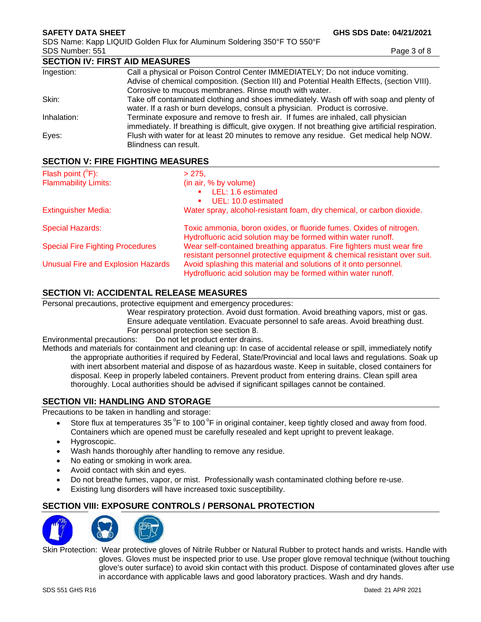SDS Name: Kapp LIQUID Golden Flux for Aluminum Soldering 350°F TO 550°F SDS Number: 551 Page 3 of 8

|             | <b>SECTION IV: FIRST AID MEASURES</b>                                                                                                                                                  |  |  |  |
|-------------|----------------------------------------------------------------------------------------------------------------------------------------------------------------------------------------|--|--|--|
| Ingestion:  | Call a physical or Poison Control Center IMMEDIATELY; Do not induce vomiting.                                                                                                          |  |  |  |
|             | Advise of chemical composition. (Section III) and Potential Health Effects, (section VIII).                                                                                            |  |  |  |
|             | Corrosive to mucous membranes. Rinse mouth with water.                                                                                                                                 |  |  |  |
| Skin:       | Take off contaminated clothing and shoes immediately. Wash off with soap and plenty of<br>water. If a rash or burn develops, consult a physician. Product is corrosive.                |  |  |  |
| Inhalation: | Terminate exposure and remove to fresh air. If fumes are inhaled, call physician<br>immediately. If breathing is difficult, give oxygen. If not breathing give artificial respiration. |  |  |  |
| Eves:       | Flush with water for at least 20 minutes to remove any residue. Get medical help NOW.<br>Blindness can result.                                                                         |  |  |  |
|             |                                                                                                                                                                                        |  |  |  |

# **SECTION V: FIRE FIGHTING MEASURES**

| Flash point $(^{\circ}F)$ :               | >275.                                                                                                                                             |
|-------------------------------------------|---------------------------------------------------------------------------------------------------------------------------------------------------|
| <b>Flammability Limits:</b>               | (in air, % by volume)                                                                                                                             |
|                                           | LEL: 1.6 estimated                                                                                                                                |
|                                           | UEL: 10.0 estimated                                                                                                                               |
| <b>Extinguisher Media:</b>                | Water spray, alcohol-resistant foam, dry chemical, or carbon dioxide.                                                                             |
| <b>Special Hazards:</b>                   | Toxic ammonia, boron oxides, or fluoride fumes. Oxides of nitrogen.<br>Hydrofluoric acid solution may be formed within water runoff.              |
| <b>Special Fire Fighting Procedures</b>   | Wear self-contained breathing apparatus. Fire fighters must wear fire<br>resistant personnel protective equipment & chemical resistant over suit. |
| <b>Unusual Fire and Explosion Hazards</b> | Avoid splashing this material and solutions of it onto personnel.<br>Hydrofluoric acid solution may be formed within water runoff.                |

# **SECTION VI: ACCIDENTAL RELEASE MEASURES**

Personal precautions, protective equipment and emergency procedures:

Wear respiratory protection. Avoid dust formation. Avoid breathing vapors, mist or gas. Ensure adequate ventilation. Evacuate personnel to safe areas. Avoid breathing dust. For personal protection see section 8.

Environmental precautions: Do not let product enter drains.

Methods and materials for containment and cleaning up: In case of accidental release or spill, immediately notify the appropriate authorities if required by Federal, State/Provincial and local laws and regulations. Soak up with inert absorbent material and dispose of as hazardous waste. Keep in suitable, closed containers for disposal. Keep in properly labeled containers. Prevent product from entering drains. Clean spill area thoroughly. Local authorities should be advised if significant spillages cannot be contained.

# **SECTION VII: HANDLING AND STORAGE**

Precautions to be taken in handling and storage:

- Store flux at temperatures 35<sup>°</sup>F to 100<sup>°</sup>F in original container, keep tightly closed and away from food. Containers which are opened must be carefully resealed and kept upright to prevent leakage.
- Hygroscopic.
- Wash hands thoroughly after handling to remove any residue.
- No eating or smoking in work area.
- Avoid contact with skin and eyes.
- Do not breathe fumes, vapor, or mist. Professionally wash contaminated clothing before re-use.
- Existing lung disorders will have increased toxic susceptibility.

# **SECTION VIII: EXPOSURE CONTROLS / PERSONAL PROTECTION**



Skin Protection: Wear protective gloves of Nitrile Rubber or Natural Rubber to protect hands and wrists. Handle with gloves. Gloves must be inspected prior to use. Use proper glove removal technique (without touching glove's outer surface) to avoid skin contact with this product. Dispose of contaminated gloves after use in accordance with applicable laws and good laboratory practices. Wash and dry hands.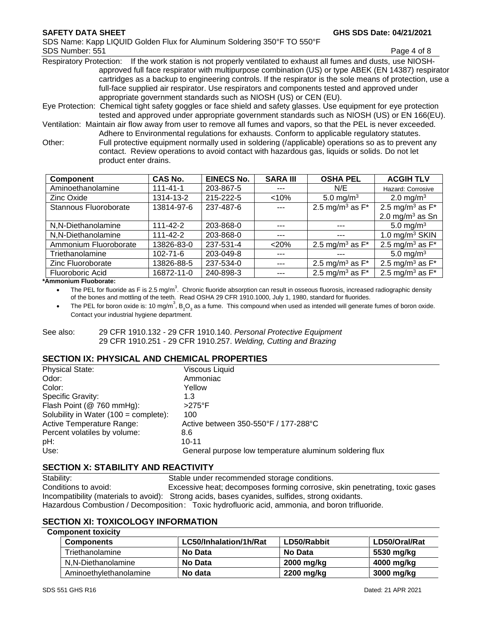SDS Name: Kapp LIQUID Golden Flux for Aluminum Soldering 350°F TO 550°F SDS Number: 551 Page 4 of 8

Respiratory Protection: If the work station is not properly ventilated to exhaust all fumes and dusts, use NIOSHapproved full face respirator with multipurpose combination (US) or type ABEK (EN 14387) respirator cartridges as a backup to engineering controls. If the respirator is the sole means of protection, use a full-face supplied air respirator. Use respirators and components tested and approved under appropriate government standards such as NIOSH (US) or CEN (EU).

Eye Protection: Chemical tight safety goggles or face shield and safety glasses. Use equipment for eye protection tested and approved under appropriate government standards such as NIOSH (US) or EN 166(EU).

Ventilation: Maintain air flow away from user to remove all fumes and vapors, so that the PEL is never exceeded. Adhere to Environmental regulations for exhausts. Conform to applicable regulatory statutes.

Other: Full protective equipment normally used in soldering (/applicable) operations so as to prevent any contact. Review operations to avoid contact with hazardous gas, liquids or solids. Do not let product enter drains.

| <b>Component</b>      | <b>CAS No.</b> | <b>EINECS No.</b> | <b>SARA III</b> | <b>OSHA PEL</b>                | <b>ACGIH TLV</b>               |
|-----------------------|----------------|-------------------|-----------------|--------------------------------|--------------------------------|
| Aminoethanolamine     | $111 - 41 - 1$ | 203-867-5         | $- - -$         | N/E                            | Hazard: Corrosive              |
| Zinc Oxide            | 1314-13-2      | 215-222-5         | < 10%           | 5.0 mg/m <sup>3</sup>          | 2.0 mg/m <sup>3</sup>          |
| Stannous Fluoroborate | 13814-97-6     | 237-487-6         | $---$           | 2.5 mg/m <sup>3</sup> as $F^*$ | 2.5 mg/m <sup>3</sup> as $F^*$ |
|                       |                |                   |                 |                                | 2.0 mg/m $3$ as Sn             |
| N,N-Diethanolamine    | 111-42-2       | 203-868-0         | $-- -$          |                                | 5.0 mg/m <sup>3</sup>          |
| N,N-Diethanolamine    | $111 - 42 - 2$ | 203-868-0         | $- - -$         | $- - -$                        | 1.0 mg/m <sup>3</sup> SKIN     |
| Ammonium Fluoroborate | 13826-83-0     | 237-531-4         | < 20%           | 2.5 mg/m <sup>3</sup> as $F^*$ | 2.5 mg/m <sup>3</sup> as $F^*$ |
| Triethanolamine       | $102 - 71 - 6$ | 203-049-8         | ---             | ---                            | 5.0 mg/m <sup>3</sup>          |
| Zinc Fluoroborate     | 13826-88-5     | 237-534-0         | $- - -$         | 2.5 mg/m <sup>3</sup> as $F^*$ | 2.5 mg/m <sup>3</sup> as $F^*$ |
| Fluoroboric Acid      | 16872-11-0     | 240-898-3         | $- - -$         | 2.5 mg/m <sup>3</sup> as $F^*$ | 2.5 mg/m <sup>3</sup> as $F^*$ |

**\*Ammonium Fluoborate:** 

• The PEL for fluoride as F is 2.5 mg/m<sup>3</sup>. Chronic fluoride absorption can result in osseous fluorosis, increased radiographic density of the bones and mottling of the teeth. Read OSHA 29 CFR 1910.1000, July 1, 1980, standard for fluorides.

• The PEL for boron oxide is: 10 mg/m<sup>3</sup>, B<sub>2</sub>O<sub>3</sub> as a fume. This compound when used as intended will generate fumes of boron oxide. Contact your industrial hygiene department.

### See also: 29 CFR 1910.132 - 29 CFR 1910.140. *Personal Protective Equipment* 29 CFR 1910.251 - 29 CFR 1910.257. *Welding, Cutting and Brazing*

# **SECTION IX: PHYSICAL AND CHEMICAL PROPERTIES**

| <b>Physical State:</b>                          | Viscous Liquid                                          |
|-------------------------------------------------|---------------------------------------------------------|
| Odor:                                           | Ammoniac                                                |
| Color:                                          | Yellow                                                  |
| Specific Gravity:                               | 1.3                                                     |
| Flash Point (@ 760 mmHg):                       | $>275^\circ$ F                                          |
| Solubility in Water $(100 = \text{complete})$ : | 100                                                     |
| Active Temperature Range:                       | Active between 350-550°F / 177-288°C                    |
| Percent volatiles by volume:                    | 8.6                                                     |
| pH:                                             | $10 - 11$                                               |
| Use:                                            | General purpose low temperature aluminum soldering flux |
|                                                 |                                                         |

# **SECTION X: STABILITY AND REACTIVITY**

Stability: Stable under recommended storage conditions. Conditions to avoid: Excessive heat; decomposes forming corrosive, skin penetrating, toxic gases Incompatibility (materials to avoid): Strong acids, bases cyanides, sulfides, strong oxidants. Hazardous Combustion / Decomposition: Toxic hydrofluoric acid, ammonia, and boron trifluoride.

# **SECTION XI: TOXICOLOGY INFORMATION**

## **Component toxicity**

| <b>Components</b>      | LC50/Inhalation/1h/Rat | LD50/Rabbit | LD50/Oral/Rat |
|------------------------|------------------------|-------------|---------------|
| Triethanolamine        | No Data                | No Data     | 5530 mg/kg    |
| N,N-Diethanolamine     | No Data                | 2000 mg/kg  | 4000 mg/kg    |
| Aminoethylethanolamine | No data                | 2200 mg/kg  | 3000 mg/kg    |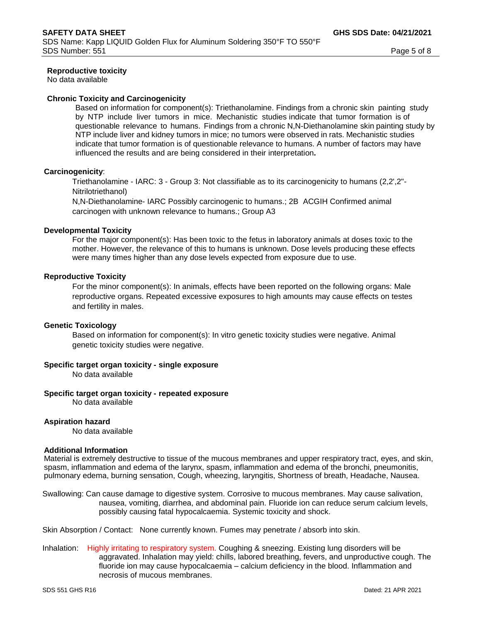## **Reproductive toxicity**

No data available

### **Chronic Toxicity and Carcinogenicity**

Based on information for component(s): Triethanolamine. Findings from a chronic skin painting study by NTP include liver tumors in mice. Mechanistic studies indicate that tumor formation is of questionable relevance to humans. Findings from a chronic N,N-Diethanolamine skin painting study by NTP include liver and kidney tumors in mice; no tumors were observed in rats. Mechanistic studies indicate that tumor formation is of questionable relevance to humans. A number of factors may have influenced the results and are being considered in their interpretation**.**

### **Carcinogenicity**:

Triethanolamine - IARC: 3 - Group 3: Not classifiable as to its carcinogenicity to humans (2,2',2''- Nitrilotriethanol)

N,N-Diethanolamine- IARC Possibly carcinogenic to humans.; 2B ACGIH Confirmed animal carcinogen with unknown relevance to humans.; Group A3

### **Developmental Toxicity**

For the major component(s): Has been toxic to the fetus in laboratory animals at doses toxic to the mother. However, the relevance of this to humans is unknown. Dose levels producing these effects were many times higher than any dose levels expected from exposure due to use.

### **Reproductive Toxicity**

For the minor component(s): In animals, effects have been reported on the following organs: Male reproductive organs. Repeated excessive exposures to high amounts may cause effects on testes and fertility in males.

#### **Genetic Toxicology**

Based on information for component(s): In vitro genetic toxicity studies were negative. Animal genetic toxicity studies were negative.

#### **Specific target organ toxicity - single exposure**

No data available

#### **Specific target organ toxicity - repeated exposure**

No data available

#### **Aspiration hazard**

No data available

#### **Additional Information**

Material is extremely destructive to tissue of the mucous membranes and upper respiratory tract, eyes, and skin, spasm, inflammation and edema of the larynx, spasm, inflammation and edema of the bronchi, pneumonitis, pulmonary edema, burning sensation, Cough, wheezing, laryngitis, Shortness of breath, Headache, Nausea.

Swallowing: Can cause damage to digestive system. Corrosive to mucous membranes. May cause salivation, nausea, vomiting, diarrhea, and abdominal pain. Fluoride ion can reduce serum calcium levels, possibly causing fatal hypocalcaemia. Systemic toxicity and shock.

Skin Absorption / Contact: None currently known. Fumes may penetrate / absorb into skin.

Inhalation: Highly irritating to respiratory system. Coughing & sneezing. Existing lung disorders will be aggravated. Inhalation may yield: chills, labored breathing, fevers, and unproductive cough. The fluoride ion may cause hypocalcaemia – calcium deficiency in the blood. Inflammation and necrosis of mucous membranes.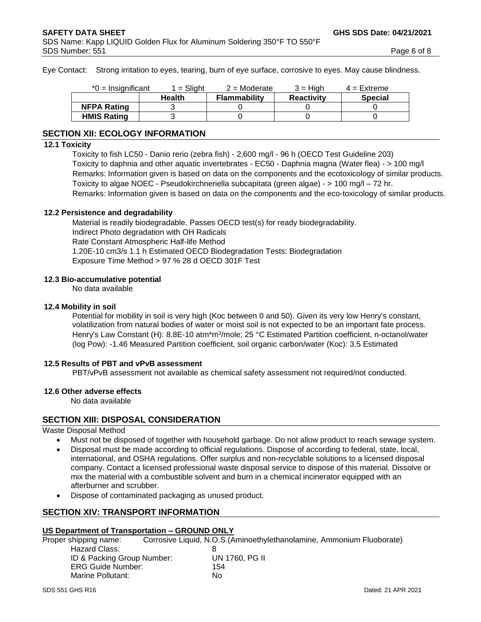Eye Contact: Strong irritation to eyes, tearing, burn of eye surface, corrosive to eyes. May cause blindness.

| $*0 =$ Insignificant | $1 =$ Slight | $2 =$ Moderate      | $3 = H$ iah       | $4 =$ Extreme  |
|----------------------|--------------|---------------------|-------------------|----------------|
|                      | Health       | <b>Flammability</b> | <b>Reactivity</b> | <b>Special</b> |
| <b>NFPA Rating</b>   |              |                     |                   |                |
| <b>HMIS Rating</b>   |              |                     |                   |                |

# **SECTION XII: ECOLOGY INFORMATION**

## **12.1 Toxicity**

Toxicity to fish LC50 - Danio rerio (zebra fish) - 2,600 mg/l - 96 h (OECD Test Guideline 203) Toxicity to daphnia and other aquatic invertebrates - EC50 - Daphnia magna (Water flea) - > 100 mg/l Remarks: Information given is based on data on the components and the ecotoxicology of similar products. Toxicity to algae NOEC - Pseudokirchneriella subcapitata (green algae) - > 100 mg/l – 72 hr. Remarks: Information given is based on data on the components and the eco-toxicology of similar products.

# **12.2 Persistence and degradability**

Material is readily biodegradable. Passes OECD test(s) for ready biodegradability. Indirect Photo degradation with OH Radicals Rate Constant Atmospheric Half-life Method 1.20E-10 cm3/s 1.1 h Estimated OECD Biodegradation Tests: Biodegradation Exposure Time Method > 97 % 28 d OECD 301F Test

## **12.3 Bio-accumulative potential**

No data available

## **12.4 Mobility in soil**

Potential for mobility in soil is very high (Koc between 0 and 50). Given its very low Henry's constant, volatilization from natural bodies of water or moist soil is not expected to be an important fate process. Henry's Law Constant (H): 8.8E-10 atm\*m<sup>3</sup>/mole; 25 °C Estimated Partition coefficient, n-octanol/water (log Pow): -1.46 Measured Partition coefficient, soil organic carbon/water (Koc): 3.5 Estimated

#### **12.5 Results of PBT and vPvB assessment**

PBT/vPvB assessment not available as chemical safety assessment not required/not conducted.

#### **12.6 Other adverse effects**

No data available

# **SECTION XIII: DISPOSAL CONSIDERATION**

Waste Disposal Method

- Must not be disposed of together with household garbage. Do not allow product to reach sewage system.
- Disposal must be made according to official regulations. Dispose of according to federal, state, local, international, and OSHA regulations. Offer surplus and non-recyclable solutions to a licensed disposal company. Contact a licensed professional waste disposal service to dispose of this material. Dissolve or mix the material with a combustible solvent and burn in a chemical incinerator equipped with an afterburner and scrubber.
- Dispose of contaminated packaging as unused product.

# **SECTION XIV: TRANSPORT INFORMATION**

# **US Department of Transportation – GROUND ONLY**

Proper shipping name: Corrosive Liquid, N.O.S.(Aminoethylethanolamine, Ammonium Fluoborate) Hazard Class: 8 ID & Packing Group Number: UN 1760, PG II ERG Guide Number: 154 Marine Pollutant: No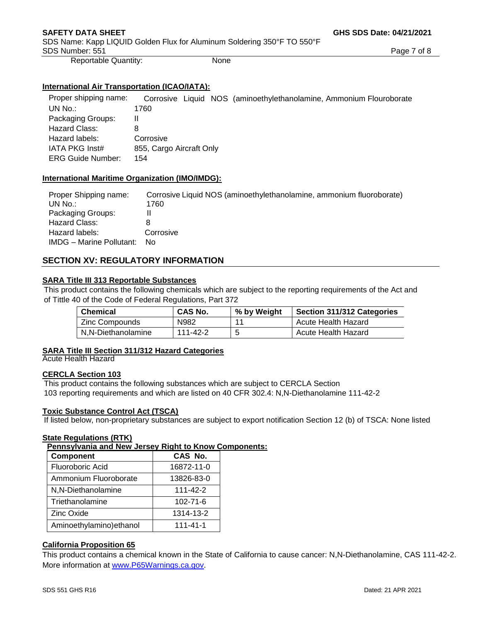SDS Name: Kapp LIQUID Golden Flux for Aluminum Soldering 350°F TO 550°F SDS Number: 551 Page 7 of 8

Reportable Quantity: None

# **International Air Transportation (ICAO/IATA):**

Proper shipping name: Corrosive Liquid NOS (aminoethylethanolamine, Ammonium Flouroborate UN No.: 1760 ammonium 1760 ammonium et al. et al. et al. et al. et al. et al. et al. et al. et al. e Packaging Groups: II Hazard Class: 8 Hazard labels: Corrosive IATA PKG Inst# 855, Cargo Aircraft Only ERG Guide Number: 154

# **International Maritime Organization (IMO/IMDG):**

| Proper Shipping name:           | Corrosive Liquid NOS (aminoethylethanolamine, ammonium fluoroborate) |
|---------------------------------|----------------------------------------------------------------------|
| UN $No.$ :                      | 1760                                                                 |
| Packaging Groups:               |                                                                      |
| Hazard Class:                   |                                                                      |
| Hazard labels:                  | Corrosive                                                            |
| <b>IMDG</b> – Marine Pollutant: | N٥                                                                   |

# **SECTION XV: REGULATORY INFORMATION**

# **SARA Title III 313 Reportable Substances**

This product contains the following chemicals which are subject to the reporting requirements of the Act and of Tittle 40 of the Code of Federal Regulations, Part 372

| <b>Chemical</b>    | <b>CAS No.</b> | % by Weight | Section 311/312 Categories |
|--------------------|----------------|-------------|----------------------------|
| Zinc Compounds     | N982           | - 11        | Acute Health Hazard        |
| N.N-Diethanolamine | 111-42-2       | 5           | Acute Health Hazard        |

# **SARA Title III Section 311/312 Hazard Categories**

Acute Health Hazard

# **CERCLA Section 103**

This product contains the following substances which are subject to CERCLA Section 103 reporting requirements and which are listed on 40 CFR 302.4: N,N-Diethanolamine 111-42-2

# **Toxic Substance Control Act (TSCA)**

If listed below, non-proprietary substances are subject to export notification Section 12 (b) of TSCA: None listed

# **State Regulations (RTK)**

**Pennsylvania and New Jersey Right to Know Components:**

| Component                | CAS No.        |
|--------------------------|----------------|
| Fluoroboric Acid         | 16872-11-0     |
| Ammonium Fluoroborate    | 13826-83-0     |
| N,N-Diethanolamine       | 111-42-2       |
| Triethanolamine          | 102-71-6       |
| <b>Zinc Oxide</b>        | 1314-13-2      |
| Aminoethylamino) ethanol | $111 - 41 - 1$ |

# **California Proposition 65**

This product contains a chemical known in the State of California to cause cancer: N,N-Diethanolamine, CAS 111-42-2. More information at [www.P65Warnings.ca.gov.](http://www.p65warnings.ca.gov/)